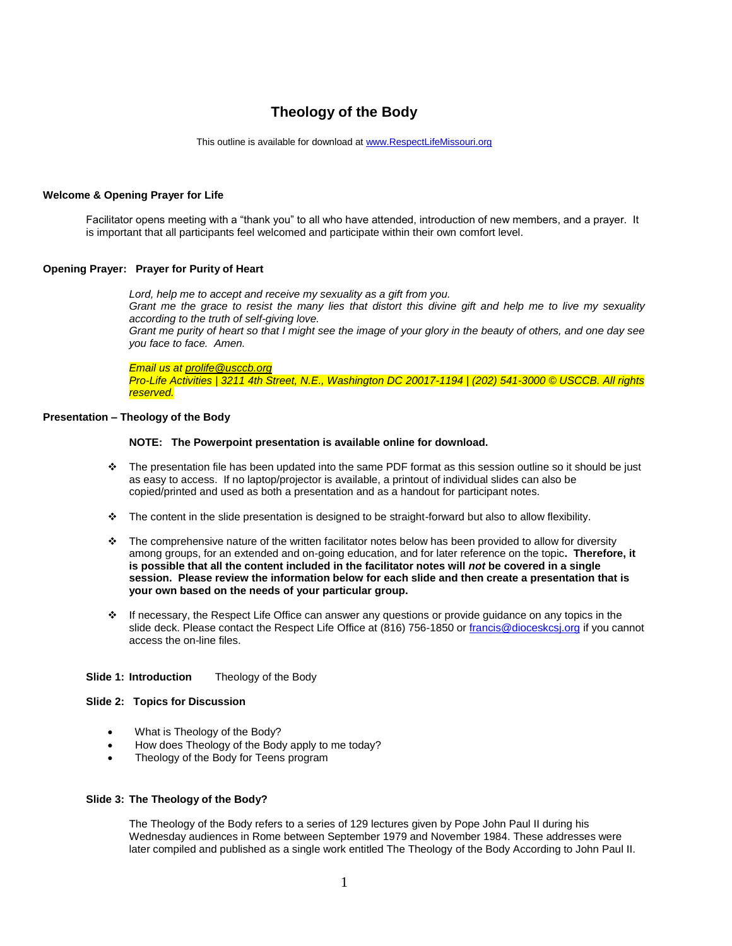# **Theology of the Body**

This outline is available for download at [www.RespectLifeMissouri.org](http://www.respectlifemissouri.org/)

## **Welcome & Opening Prayer for Life**

Facilitator opens meeting with a "thank you" to all who have attended, introduction of new members, and a prayer. It is important that all participants feel welcomed and participate within their own comfort level.

## **Opening Prayer: Prayer for Purity of Heart**

*Lord, help me to accept and receive my sexuality as a gift from you.*

*Grant me the grace to resist the many lies that distort this divine gift and help me to live my sexuality according to the truth of self-giving love.*

*Grant me purity of heart so that I might see the image of your glory in the beauty of others, and one day see you face to face. Amen.*

*Email us at [prolife@usccb.org](mailto:prolife@usccb.org)*

*Pro-Life Activities | 3211 4th Street, N.E., Washington DC 20017-1194 | (202) 541-3000 © USCCB. All rights reserved.*

## **Presentation – Theology of the Body**

## **NOTE: The Powerpoint presentation is available online for download.**

- The presentation file has been updated into the same PDF format as this session outline so it should be just as easy to access. If no laptop/projector is available, a printout of individual slides can also be copied/printed and used as both a presentation and as a handout for participant notes.
- The content in the slide presentation is designed to be straight-forward but also to allow flexibility.
- $\cdot \cdot$  The comprehensive nature of the written facilitator notes below has been provided to allow for diversity among groups, for an extended and on-going education, and for later reference on the topic**. Therefore, it is possible that all the content included in the facilitator notes will** *not* **be covered in a single session. Please review the information below for each slide and then create a presentation that is your own based on the needs of your particular group.**
- If necessary, the Respect Life Office can answer any questions or provide guidance on any topics in the slide deck. Please contact the Respect Life Office at (816) 756-1850 or francis@dioceskcsi.org if you cannot access the on-line files.

# **Slide 1: Introduction** Theology of the Body

#### **Slide 2: Topics for Discussion**

- What is Theology of the Body?
- How does Theology of the Body apply to me today?
- Theology of the Body for Teens program

#### **Slide 3: The Theology of the Body?**

The Theology of the Body refers to a series of 129 lectures given by Pope John Paul II during his Wednesday audiences in Rome between September 1979 and November 1984. These addresses were later compiled and published as a single work entitled The Theology of the Body According to John Paul II.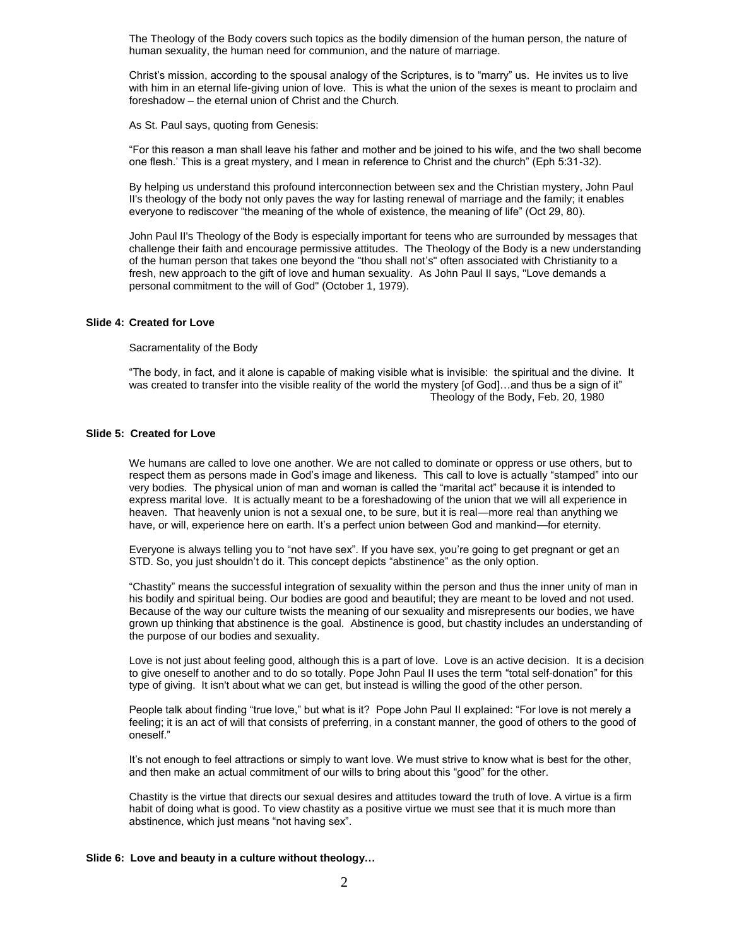The Theology of the Body covers such topics as the bodily dimension of the human person, the nature of human sexuality, the human need for communion, and the nature of marriage.

Christ's mission, according to the spousal analogy of the Scriptures, is to "marry" us. He invites us to live with him in an eternal life-giving union of love. This is what the union of the sexes is meant to proclaim and foreshadow – the eternal union of Christ and the Church.

As St. Paul says, quoting from Genesis:

"For this reason a man shall leave his father and mother and be joined to his wife, and the two shall become one flesh.' This is a great mystery, and I mean in reference to Christ and the church" (Eph 5:31-32).

By helping us understand this profound interconnection between sex and the Christian mystery, John Paul II's theology of the body not only paves the way for lasting renewal of marriage and the family; it enables everyone to rediscover "the meaning of the whole of existence, the meaning of life" (Oct 29, 80).

John Paul II's Theology of the Body is especially important for teens who are surrounded by messages that challenge their faith and encourage permissive attitudes. The Theology of the Body is a new understanding of the human person that takes one beyond the "thou shall not's" often associated with Christianity to a fresh, new approach to the gift of love and human sexuality. As John Paul II says, "Love demands a personal commitment to the will of God" (October 1, 1979).

## **Slide 4: Created for Love**

Sacramentality of the Body

"The body, in fact, and it alone is capable of making visible what is invisible: the spiritual and the divine. It was created to transfer into the visible reality of the world the mystery [of God]...and thus be a sign of it" Theology of the Body, Feb. 20, 1980

## **Slide 5: Created for Love**

We humans are called to love one another. We are not called to dominate or oppress or use others, but to respect them as persons made in God's image and likeness. This call to love is actually "stamped" into our very bodies. The physical union of man and woman is called the "marital act" because it is intended to express marital love. It is actually meant to be a foreshadowing of the union that we will all experience in heaven. That heavenly union is not a sexual one, to be sure, but it is real—more real than anything we have, or will, experience here on earth. It's a perfect union between God and mankind—for eternity.

Everyone is always telling you to "not have sex". If you have sex, you're going to get pregnant or get an STD. So, you just shouldn't do it. This concept depicts "abstinence" as the only option.

"Chastity" means the successful integration of sexuality within the person and thus the inner unity of man in his bodily and spiritual being. Our bodies are good and beautiful; they are meant to be loved and not used. Because of the way our culture twists the meaning of our sexuality and misrepresents our bodies, we have grown up thinking that abstinence is the goal. Abstinence is good, but chastity includes an understanding of the purpose of our bodies and sexuality.

Love is not just about feeling good, although this is a part of love. Love is an active decision. It is a decision to give oneself to another and to do so totally. Pope John Paul II uses the term "total self-donation" for this type of giving. It isn't about what we can get, but instead is willing the good of the other person.

People talk about finding "true love," but what is it? Pope John Paul II explained: "For love is not merely a feeling; it is an act of will that consists of preferring, in a constant manner, the good of others to the good of oneself."

It's not enough to feel attractions or simply to want love. We must strive to know what is best for the other, and then make an actual commitment of our wills to bring about this "good" for the other.

Chastity is the virtue that directs our sexual desires and attitudes toward the truth of love. A virtue is a firm habit of doing what is good. To view chastity as a positive virtue we must see that it is much more than abstinence, which just means "not having sex".

#### **Slide 6: Love and beauty in a culture without theology…**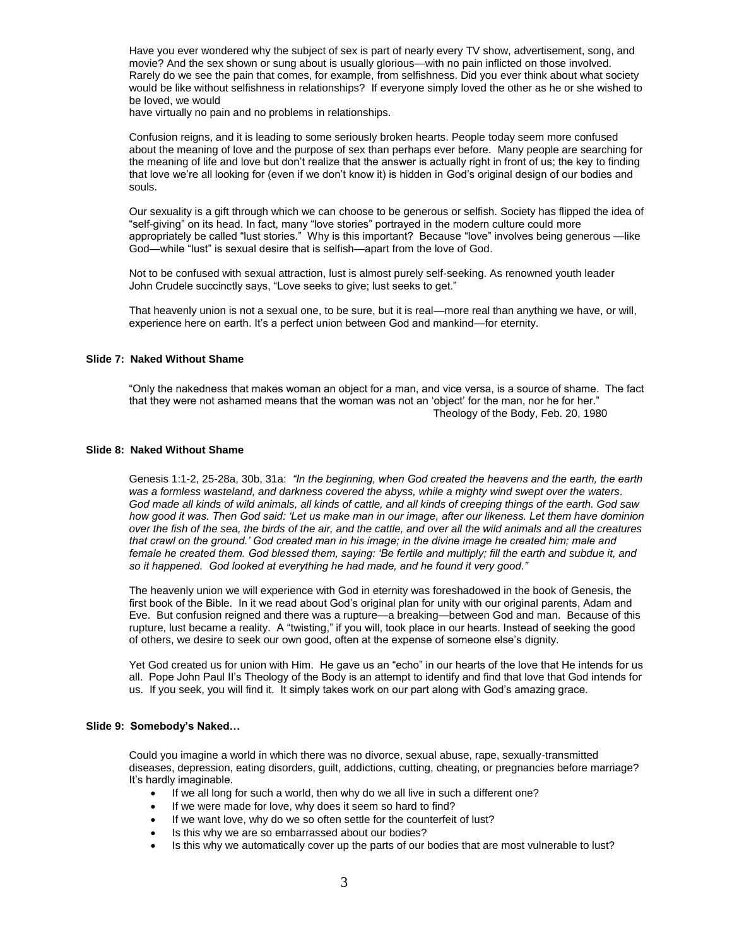Have you ever wondered why the subject of sex is part of nearly every TV show, advertisement, song, and movie? And the sex shown or sung about is usually glorious—with no pain inflicted on those involved. Rarely do we see the pain that comes, for example, from selfishness. Did you ever think about what society would be like without selfishness in relationships? If everyone simply loved the other as he or she wished to be loved, we would

have virtually no pain and no problems in relationships.

Confusion reigns, and it is leading to some seriously broken hearts. People today seem more confused about the meaning of love and the purpose of sex than perhaps ever before. Many people are searching for the meaning of life and love but don't realize that the answer is actually right in front of us; the key to finding that love we're all looking for (even if we don't know it) is hidden in God's original design of our bodies and souls.

Our sexuality is a gift through which we can choose to be generous or selfish. Society has flipped the idea of "self-giving" on its head. In fact, many "love stories" portrayed in the modern culture could more appropriately be called "lust stories." Why is this important? Because "love" involves being generous —like God—while "lust" is sexual desire that is selfish—apart from the love of God.

Not to be confused with sexual attraction, lust is almost purely self-seeking. As renowned youth leader John Crudele succinctly says, "Love seeks to give; lust seeks to get."

That heavenly union is not a sexual one, to be sure, but it is real—more real than anything we have, or will, experience here on earth. It's a perfect union between God and mankind—for eternity.

#### **Slide 7: Naked Without Shame**

"Only the nakedness that makes woman an object for a man, and vice versa, is a source of shame. The fact that they were not ashamed means that the woman was not an 'object' for the man, nor he for her." Theology of the Body, Feb. 20, 1980

## **Slide 8: Naked Without Shame**

Genesis 1:1-2, 25-28a, 30b, 31a: *"In the beginning, when God created the heavens and the earth, the earth was a formless wasteland, and darkness covered the abyss, while a mighty wind swept over the waters. God made all kinds of wild animals, all kinds of cattle, and all kinds of creeping things of the earth. God saw how good it was. Then God said: 'Let us make man in our image, after our likeness. Let them have dominion over the fish of the sea, the birds of the air, and the cattle, and over all the wild animals and all the creatures that crawl on the ground.' God created man in his image; in the divine image he created him; male and*  female he created them. God blessed them, saying: 'Be fertile and multiply; fill the earth and subdue it, and *so it happened. God looked at everything he had made, and he found it very good."*

The heavenly union we will experience with God in eternity was foreshadowed in the book of Genesis, the first book of the Bible. In it we read about God's original plan for unity with our original parents, Adam and Eve. But confusion reigned and there was a rupture—a breaking—between God and man. Because of this rupture, lust became a reality. A "twisting," if you will, took place in our hearts. Instead of seeking the good of others, we desire to seek our own good, often at the expense of someone else's dignity.

Yet God created us for union with Him. He gave us an "echo" in our hearts of the love that He intends for us all. Pope John Paul II's Theology of the Body is an attempt to identify and find that love that God intends for us. If you seek, you will find it. It simply takes work on our part along with God's amazing grace.

## **Slide 9: Somebody's Naked…**

Could you imagine a world in which there was no divorce, sexual abuse, rape, sexually-transmitted diseases, depression, eating disorders, guilt, addictions, cutting, cheating, or pregnancies before marriage? It's hardly imaginable.

- If we all long for such a world, then why do we all live in such a different one?
- If we were made for love, why does it seem so hard to find?
- If we want love, why do we so often settle for the counterfeit of lust?
- Is this why we are so embarrassed about our bodies?
- Is this why we automatically cover up the parts of our bodies that are most vulnerable to lust?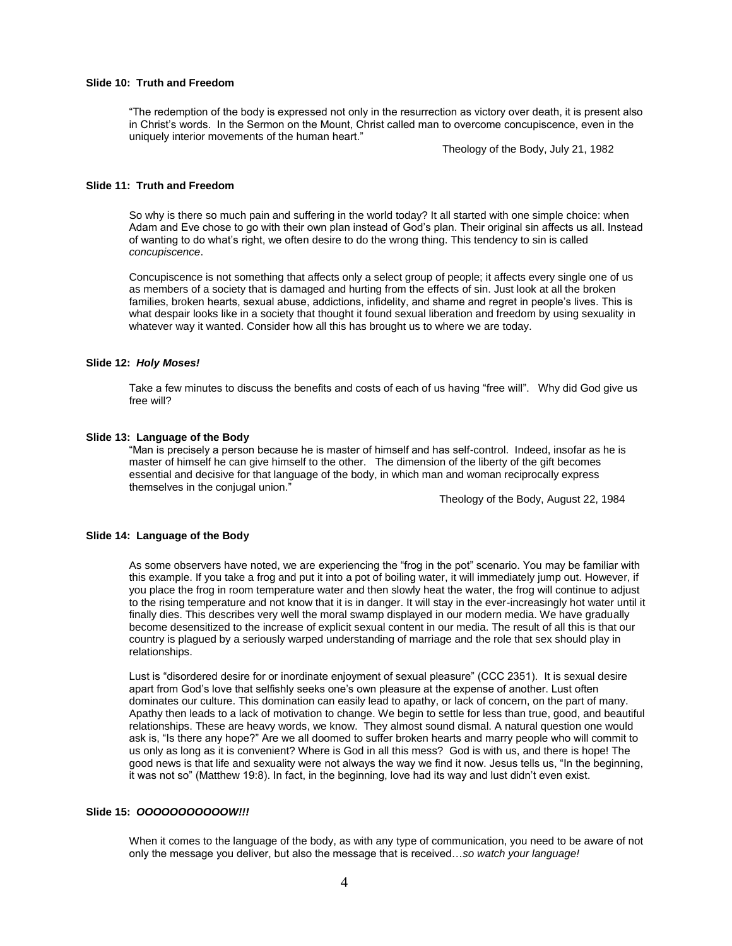## **Slide 10: Truth and Freedom**

"The redemption of the body is expressed not only in the resurrection as victory over death, it is present also in Christ's words. In the Sermon on the Mount, Christ called man to overcome concupiscence, even in the uniquely interior movements of the human heart."

Theology of the Body, July 21, 1982

## **Slide 11: Truth and Freedom**

So why is there so much pain and suffering in the world today? It all started with one simple choice: when Adam and Eve chose to go with their own plan instead of God's plan. Their original sin affects us all. Instead of wanting to do what's right, we often desire to do the wrong thing. This tendency to sin is called *concupiscence*.

Concupiscence is not something that affects only a select group of people; it affects every single one of us as members of a society that is damaged and hurting from the effects of sin. Just look at all the broken families, broken hearts, sexual abuse, addictions, infidelity, and shame and regret in people's lives. This is what despair looks like in a society that thought it found sexual liberation and freedom by using sexuality in whatever way it wanted. Consider how all this has brought us to where we are today.

### **Slide 12:** *Holy Moses!*

Take a few minutes to discuss the benefits and costs of each of us having "free will". Why did God give us free will?

### **Slide 13: Language of the Body**

"Man is precisely a person because he is master of himself and has self-control. Indeed, insofar as he is master of himself he can give himself to the other. The dimension of the liberty of the gift becomes essential and decisive for that language of the body, in which man and woman reciprocally express themselves in the conjugal union."

Theology of the Body, August 22, 1984

#### **Slide 14: Language of the Body**

As some observers have noted, we are experiencing the "frog in the pot" scenario. You may be familiar with this example. If you take a frog and put it into a pot of boiling water, it will immediately jump out. However, if you place the frog in room temperature water and then slowly heat the water, the frog will continue to adjust to the rising temperature and not know that it is in danger. It will stay in the ever-increasingly hot water until it finally dies. This describes very well the moral swamp displayed in our modern media. We have gradually become desensitized to the increase of explicit sexual content in our media. The result of all this is that our country is plagued by a seriously warped understanding of marriage and the role that sex should play in relationships.

Lust is "disordered desire for or inordinate enjoyment of sexual pleasure" (CCC 2351). It is sexual desire apart from God's love that selfishly seeks one's own pleasure at the expense of another. Lust often dominates our culture. This domination can easily lead to apathy, or lack of concern, on the part of many. Apathy then leads to a lack of motivation to change. We begin to settle for less than true, good, and beautiful relationships. These are heavy words, we know. They almost sound dismal. A natural question one would ask is, "Is there any hope?" Are we all doomed to suffer broken hearts and marry people who will commit to us only as long as it is convenient? Where is God in all this mess? God is with us, and there is hope! The good news is that life and sexuality were not always the way we find it now. Jesus tells us, "In the beginning, it was not so" (Matthew 19:8). In fact, in the beginning, love had its way and lust didn't even exist.

## **Slide 15:** *OOOOOOOOOOOW!!!*

When it comes to the language of the body, as with any type of communication, you need to be aware of not only the message you deliver, but also the message that is received…*so watch your language!*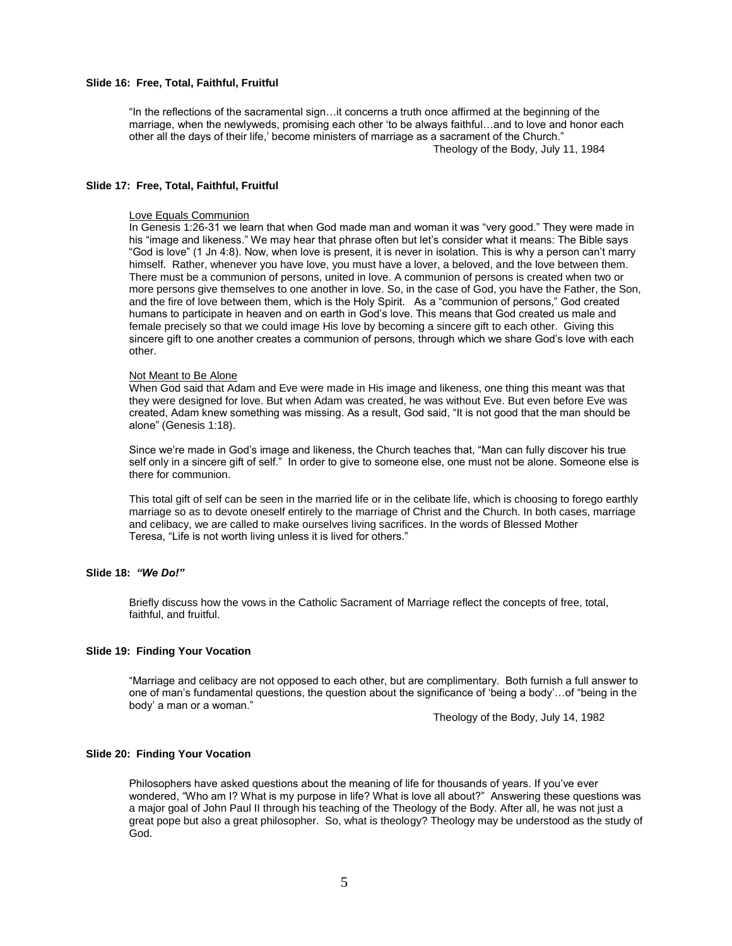## **Slide 16: Free, Total, Faithful, Fruitful**

"In the reflections of the sacramental sign…it concerns a truth once affirmed at the beginning of the marriage, when the newlyweds, promising each other 'to be always faithful…and to love and honor each other all the days of their life,' become ministers of marriage as a sacrament of the Church." Theology of the Body, July 11, 1984

### **Slide 17: Free, Total, Faithful, Fruitful**

## Love Equals Communion

In Genesis 1:26-31 we learn that when God made man and woman it was "very good." They were made in his "image and likeness." We may hear that phrase often but let's consider what it means: The Bible says "God is love" (1 Jn 4:8). Now, when love is present, it is never in isolation. This is why a person can't marry himself. Rather, whenever you have love, you must have a lover, a beloved, and the love between them. There must be a communion of persons, united in love. A communion of persons is created when two or more persons give themselves to one another in love. So, in the case of God, you have the Father, the Son, and the fire of love between them, which is the Holy Spirit. As a "communion of persons," God created humans to participate in heaven and on earth in God's love. This means that God created us male and female precisely so that we could image His love by becoming a sincere gift to each other. Giving this sincere gift to one another creates a communion of persons, through which we share God's love with each other.

#### Not Meant to Be Alone

When God said that Adam and Eve were made in His image and likeness, one thing this meant was that they were designed for love. But when Adam was created, he was without Eve. But even before Eve was created, Adam knew something was missing. As a result, God said, "It is not good that the man should be alone" (Genesis 1:18).

Since we're made in God's image and likeness, the Church teaches that, "Man can fully discover his true self only in a sincere gift of self." In order to give to someone else, one must not be alone. Someone else is there for communion.

This total gift of self can be seen in the married life or in the celibate life, which is choosing to forego earthly marriage so as to devote oneself entirely to the marriage of Christ and the Church. In both cases, marriage and celibacy, we are called to make ourselves living sacrifices. In the words of Blessed Mother Teresa, "Life is not worth living unless it is lived for others."

# **Slide 18:** *"We Do!"*

Briefly discuss how the vows in the Catholic Sacrament of Marriage reflect the concepts of free, total, faithful, and fruitful.

#### **Slide 19: Finding Your Vocation**

"Marriage and celibacy are not opposed to each other, but are complimentary. Both furnish a full answer to one of man's fundamental questions, the question about the significance of 'being a body'…of "being in the body' a man or a woman."

Theology of the Body, July 14, 1982

## **Slide 20: Finding Your Vocation**

Philosophers have asked questions about the meaning of life for thousands of years. If you've ever wondered, "Who am I? What is my purpose in life? What is love all about?" Answering these questions was a major goal of John Paul II through his teaching of the Theology of the Body. After all, he was not just a great pope but also a great philosopher. So, what is theology? Theology may be understood as the study of God.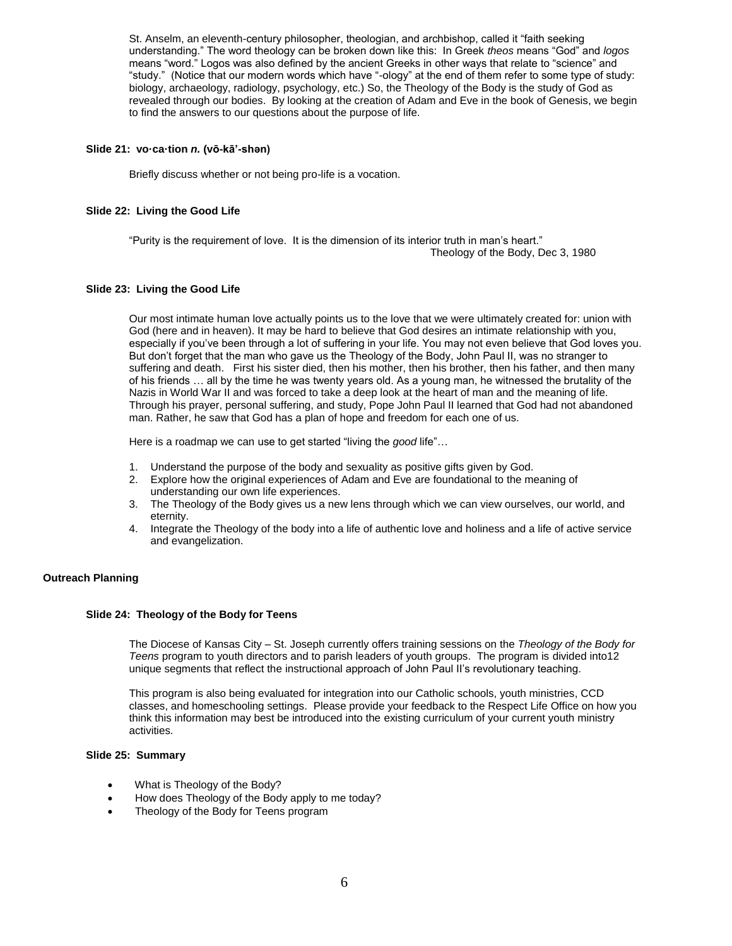St. Anselm, an eleventh-century philosopher, theologian, and archbishop, called it "faith seeking understanding." The word theology can be broken down like this: In Greek *theos* means "God" and *logos*  means "word." Logos was also defined by the ancient Greeks in other ways that relate to "science" and "study." (Notice that our modern words which have "-ology" at the end of them refer to some type of study: biology, archaeology, radiology, psychology, etc.) So, the Theology of the Body is the study of God as revealed through our bodies. By looking at the creation of Adam and Eve in the book of Genesis, we begin to find the answers to our questions about the purpose of life.

## **Slide 21: vo·ca·tion** *n.* **(vō-kā'-shən)**

Briefly discuss whether or not being pro-life is a vocation.

## **Slide 22: Living the Good Life**

"Purity is the requirement of love. It is the dimension of its interior truth in man's heart." Theology of the Body, Dec 3, 1980

## **Slide 23: Living the Good Life**

Our most intimate human love actually points us to the love that we were ultimately created for: union with God (here and in heaven). It may be hard to believe that God desires an intimate relationship with you, especially if you've been through a lot of suffering in your life. You may not even believe that God loves you. But don't forget that the man who gave us the Theology of the Body, John Paul II, was no stranger to suffering and death. First his sister died, then his mother, then his brother, then his father, and then many of his friends … all by the time he was twenty years old. As a young man, he witnessed the brutality of the Nazis in World War II and was forced to take a deep look at the heart of man and the meaning of life. Through his prayer, personal suffering, and study, Pope John Paul II learned that God had not abandoned man. Rather, he saw that God has a plan of hope and freedom for each one of us.

Here is a roadmap we can use to get started "living the *good* life"…

- 1. Understand the purpose of the body and sexuality as positive gifts given by God.
- 2. Explore how the original experiences of Adam and Eve are foundational to the meaning of understanding our own life experiences.
- 3. The Theology of the Body gives us a new lens through which we can view ourselves, our world, and eternity.
- 4. Integrate the Theology of the body into a life of authentic love and holiness and a life of active service and evangelization.

## **Outreach Planning**

### **Slide 24: Theology of the Body for Teens**

The Diocese of Kansas City – St. Joseph currently offers training sessions on the *Theology of the Body for Teens* program to youth directors and to parish leaders of youth groups. The program is divided into12 unique segments that reflect the instructional approach of John Paul II's revolutionary teaching.

This program is also being evaluated for integration into our Catholic schools, youth ministries, CCD classes, and homeschooling settings. Please provide your feedback to the Respect Life Office on how you think this information may best be introduced into the existing curriculum of your current youth ministry activities.

# **Slide 25: Summary**

- What is Theology of the Body?
- How does Theology of the Body apply to me today?
- Theology of the Body for Teens program